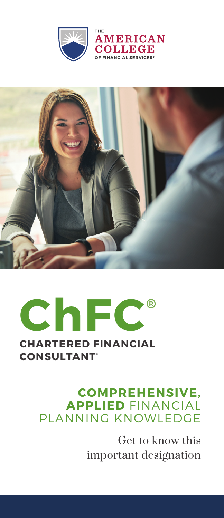





#### **COMPREHENSIVE, APPLIED** FINANCIAL PLANNING KNOWLEDGE

Get to know this important designation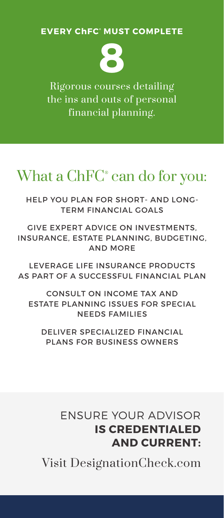**EVERY ChFC ® MUST COMPLETE**

**8**

Rigorous courses detailing the ins and outs of personal financial planning.

# What a ChFC® can do for you:

HELP YOU PLAN FOR SHORT- AND LONG-TERM FINANCIAL GOALS

GIVE EXPERT ADVICE ON INVESTMENTS, INSURANCE, ESTATE PLANNING, BUDGETING, AND MORE

LEVERAGE LIFE INSURANCE PRODUCTS AS PART OF A SUCCESSFUL FINANCIAL PLAN

CONSULT ON INCOME TAX AND ESTATE PLANNING ISSUES FOR SPECIAL NEEDS FAMILIES

DELIVER SPECIALIZED FINANCIAL PLANS FOR BUSINESS OWNERS

#### ENSURE YOUR ADVISOR **IS CREDENTIALED AND CURRENT:**

Visit DesignationCheck.com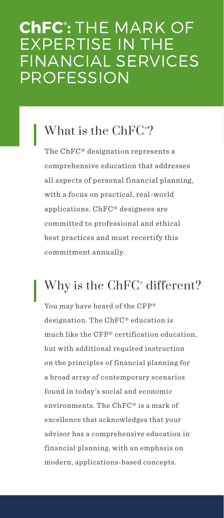# **ChFC ® :** THE MARK OF EXPERTISE IN THE FINANCIAL SERVICES PROFESSION

## What is the ChFC® ?

The ChFC® designation represents a comprehensive education that addresses all aspects of personal financial planning, with a focus on practical, real-world applications. ChFC® designees are committed to professional and ethical best practices and must recertify this commitment annually.

## Why is the ChFC® different?

You may have heard of the CFP® designation. The ChFC® education is much like the CFP® certification education, but with additional required instruction on the principles of financial planning for a broad array of contemporary scenarios found in today's social and economic environments. The ChFC® is a mark of excellence that acknowledges that your advisor has a comprehensive education in financial planning, with an emphasis on modern, applications-based concepts.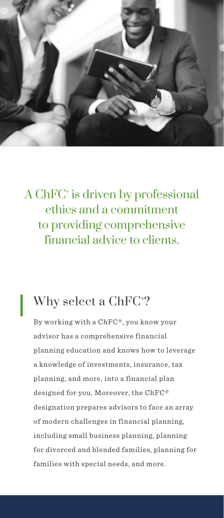

### A ChFC® is driven by professional ethics and a commitment to providing comprehensive financial advice to clients.

#### Why select a ChFC® ?

By working with a ChFC®, you know your advisor has a comprehensive financial planning education and knows how to leverage a knowledge of investments, insurance, tax planning, and more, into a financial plan designed for you. Moreover, the ChFC® designation prepares advisors to face an array of modern challenges in financial planning, including small business planning, planning for divorced and blended families, planning for families with special needs, and more.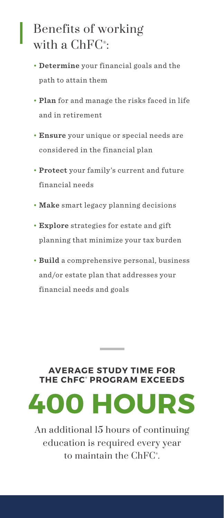### Benefits of working with a  $\mathrm{ChFC^{\ast}}$ :

- **Determine** your financial goals and the path to attain them
- **Plan** for and manage the risks faced in life and in retirement
- **Ensure** your unique or special needs are considered in the financial plan
- **Protect** your family's current and future financial needs
- **Make** smart legacy planning decisions
- **Explore** strategies for estate and gift planning that minimize your tax burden
- **Build** a comprehensive personal, business and/or estate plan that addresses your financial needs and goals

#### **AVERAGE STUDY TIME FOR THE ChFC ® PROGRAM EXCEEDS**

and the company

**400 HOURS**

An additional 15 hours of continuing education is required every year to maintain the ChFC®.